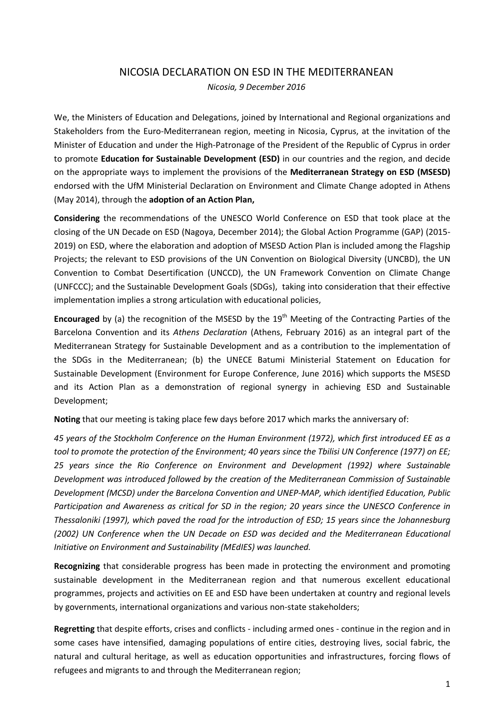## NICOSIA DECLARATION ON ESD IN THE MEDITERRANEAN

*Nicosia, 9 December 2016* 

We, the Ministers of Education and Delegations, joined by International and Regional organizations and Stakeholders from the Euro-Mediterranean region, meeting in Nicosia, Cyprus, at the invitation of the Minister of Education and under the High-Patronage of the President of the Republic of Cyprus in order to promote **Education for Sustainable Development (ESD)** in our countries and the region, and decide on the appropriate ways to implement the provisions of the **Mediterranean Strategy on ESD (MSESD)**  endorsed with the UfM Ministerial Declaration on Environment and Climate Change adopted in Athens (May 2014), through the **adoption of an Action Plan,**

**Considering** the recommendations of the UNESCO World Conference on ESD that took place at the closing of the UN Decade on ESD (Nagoya, December 2014); the Global Action Programme (GAP) (2015- 2019) on ESD, where the elaboration and adoption of MSESD Action Plan is included among the Flagship Projects; the relevant to ESD provisions of the UN Convention on Biological Diversity (UNCBD), the UN Convention to Combat Desertification (UNCCD), the UN Framework Convention on Climate Change (UNFCCC); and the Sustainable Development Goals (SDGs), taking into consideration that their effective implementation implies a strong articulation with educational policies,

Encouraged by (a) the recognition of the MSESD by the 19<sup>th</sup> Meeting of the Contracting Parties of the Barcelona Convention and its *Athens Declaration* (Athens, February 2016) as an integral part of the Mediterranean Strategy for Sustainable Development and as a contribution to the implementation of the SDGs in the Mediterranean; (b) the UNECE Batumi Ministerial Statement on Education for Sustainable Development (Environment for Europe Conference, June 2016) which supports the MSESD and its Action Plan as a demonstration of regional synergy in achieving ESD and Sustainable Development;

**Noting** that our meeting is taking place few days before 2017 which marks the anniversary of:

*45 years of the Stockholm Conference on the Human Environment (1972), which first introduced EE as a tool to promote the protection of the Environment; 40 years since the Tbilisi UN Conference (1977) on EE; 25 years since the Rio Conference on Environment and Development (1992) where Sustainable Development was introduced followed by the creation of the Mediterranean Commission of Sustainable Development (MCSD) under the Barcelona Convention and UNEP-MAP, which identified Education, Public Participation and Awareness as critical for SD in the region; 20 years since the UNESCO Conference in Thessaloniki (1997), which paved the road for the introduction of ESD; 15 years since the Johannesburg (2002) UN Conference when the UN Decade on ESD was decided and the Mediterranean Educational Initiative on Environment and Sustainability (MEdIES) was launched.* 

**Recognizing** that considerable progress has been made in protecting the environment and promoting sustainable development in the Mediterranean region and that numerous excellent educational programmes, projects and activities on EE and ESD have been undertaken at country and regional levels by governments, international organizations and various non-state stakeholders;

**Regretting** that despite efforts, crises and conflicts - including armed ones - continue in the region and in some cases have intensified, damaging populations of entire cities, destroying lives, social fabric, the natural and cultural heritage, as well as education opportunities and infrastructures, forcing flows of refugees and migrants to and through the Mediterranean region;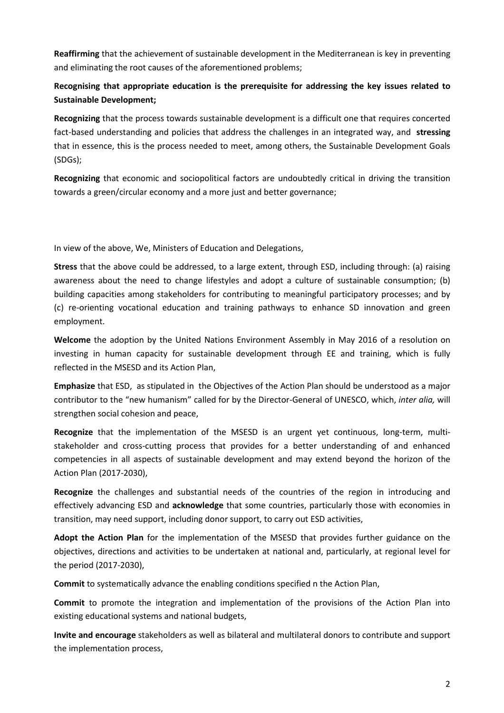**Reaffirming** that the achievement of sustainable development in the Mediterranean is key in preventing and eliminating the root causes of the aforementioned problems;

## **Recognising that appropriate education is the prerequisite for addressing the key issues related to Sustainable Development;**

**Recognizing** that the process towards sustainable development is a difficult one that requires concerted fact-based understanding and policies that address the challenges in an integrated way, and **stressing** that in essence, this is the process needed to meet, among others, the Sustainable Development Goals (SDGs);

**Recognizing** that economic and sociopolitical factors are undoubtedly critical in driving the transition towards a green/circular economy and a more just and better governance;

In view of the above, We, Ministers of Education and Delegations,

**Stress** that the above could be addressed, to a large extent, through ESD, including through: (a) raising awareness about the need to change lifestyles and adopt a culture of sustainable consumption; (b) building capacities among stakeholders for contributing to meaningful participatory processes; and by (c) re-orienting vocational education and training pathways to enhance SD innovation and green employment.

**Welcome** the adoption by the United Nations Environment Assembly in May 2016 of a resolution on investing in human capacity for sustainable development through EE and training, which is fully reflected in the MSESD and its Action Plan,

**Emphasize** that ESD, as stipulated in the Objectives of the Action Plan should be understood as a major contributor to the "new humanism" called for by the Director-General of UNESCO, which, *inter alia,* will strengthen social cohesion and peace,

**Recognize** that the implementation of the MSESD is an urgent yet continuous, long-term, multistakeholder and cross-cutting process that provides for a better understanding of and enhanced competencies in all aspects of sustainable development and may extend beyond the horizon of the Action Plan (2017-2030),

**Recognize** the challenges and substantial needs of the countries of the region in introducing and effectively advancing ESD and **acknowledge** that some countries, particularly those with economies in transition, may need support, including donor support, to carry out ESD activities,

**Adopt the Action Plan** for the implementation of the MSESD that provides further guidance on the objectives, directions and activities to be undertaken at national and, particularly, at regional level for the period (2017-2030),

**Commit** to systematically advance the enabling conditions specified n the Action Plan,

**Commit** to promote the integration and implementation of the provisions of the Action Plan into existing educational systems and national budgets,

**Invite and encourage** stakeholders as well as bilateral and multilateral donors to contribute and support the implementation process,